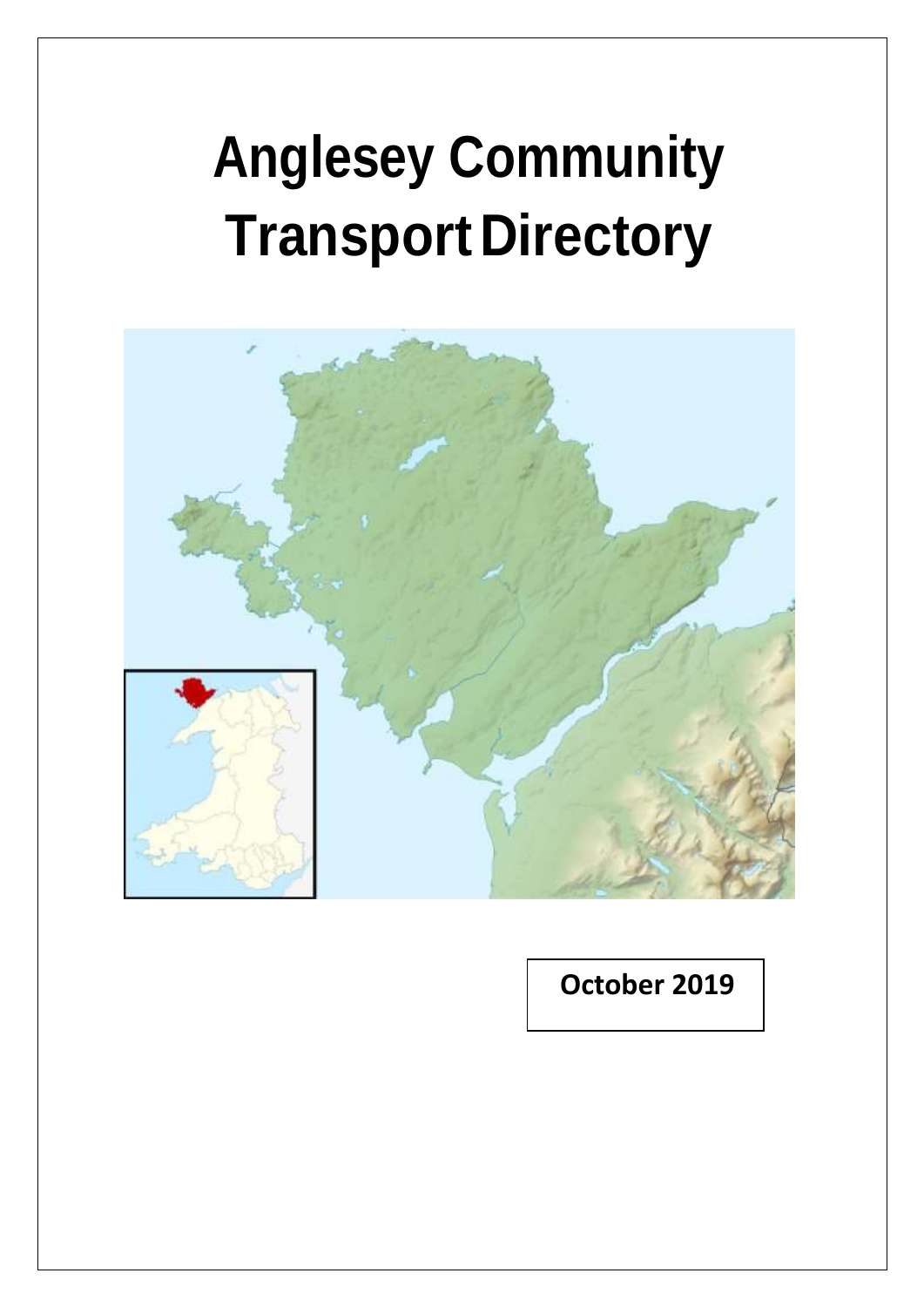# **Anglesey Community TransportDirectory**



 **October 2019**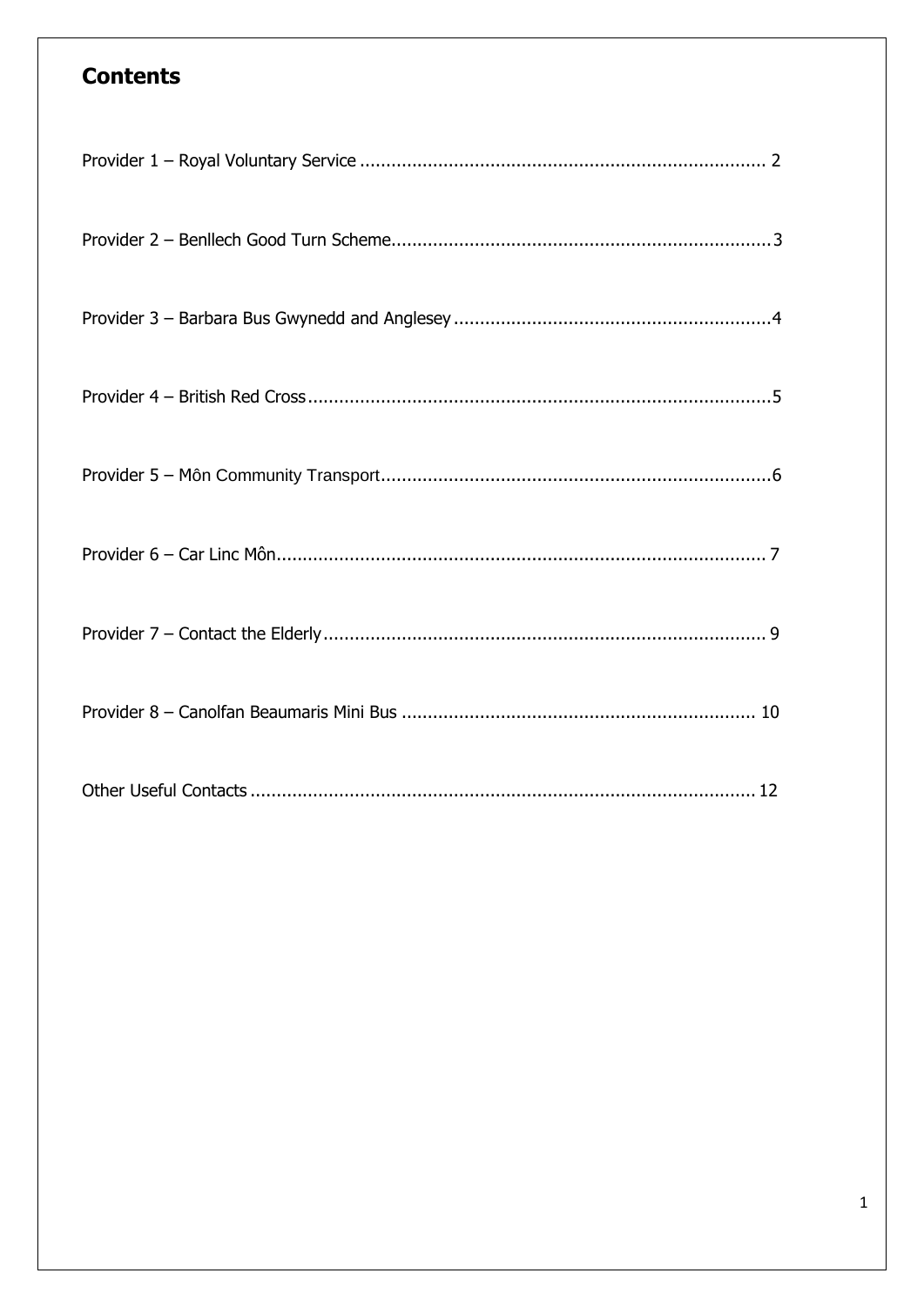### **Contents**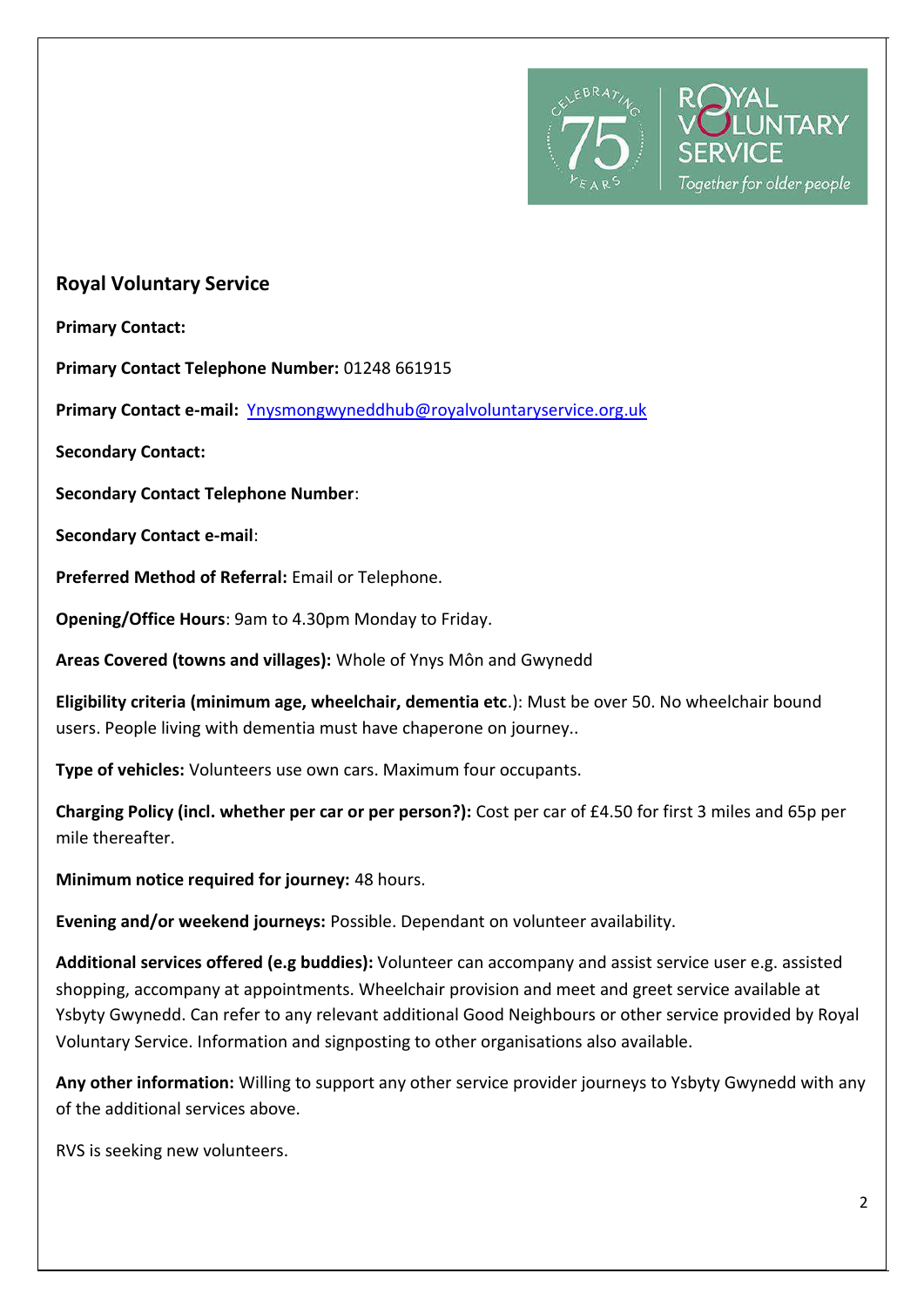

### **Royal Voluntary Service**

**Primary Contact:** 

**Primary Contact Telephone Number:** 01248 661915

**Primary Contact e-mail:** [Ynysmongwyneddhub@royalvoluntaryservice.org.uk](mailto:Ynysmongwyneddhub@royalvoluntaryservice.org.uk)

**Secondary Contact:** 

**Secondary Contact Telephone Number**:

**Secondary Contact e-mail**:

**Preferred Method of Referral:** Email or Telephone.

**Opening/Office Hours**: 9am to 4.30pm Monday to Friday.

**Areas Covered (towns and villages):** Whole of Ynys Môn and Gwynedd

**Eligibility criteria (minimum age, wheelchair, dementia etc**.): Must be over 50. No wheelchair bound users. People living with dementia must have chaperone on journey..

**Type of vehicles:** Volunteers use own cars. Maximum four occupants.

**Charging Policy (incl. whether per car or per person?):** Cost per car of £4.50 for first 3 miles and 65p per mile thereafter.

**Minimum notice required for journey:** 48 hours.

**Evening and/or weekend journeys:** Possible. Dependant on volunteer availability.

**Additional services offered (e.g buddies):** Volunteer can accompany and assist service user e.g. assisted shopping, accompany at appointments. Wheelchair provision and meet and greet service available at Ysbyty Gwynedd. Can refer to any relevant additional Good Neighbours or other service provided by Royal Voluntary Service. Information and signposting to other organisations also available.

**Any other information:** Willing to support any other service provider journeys to Ysbyty Gwynedd with any of the additional services above.

RVS is seeking new volunteers.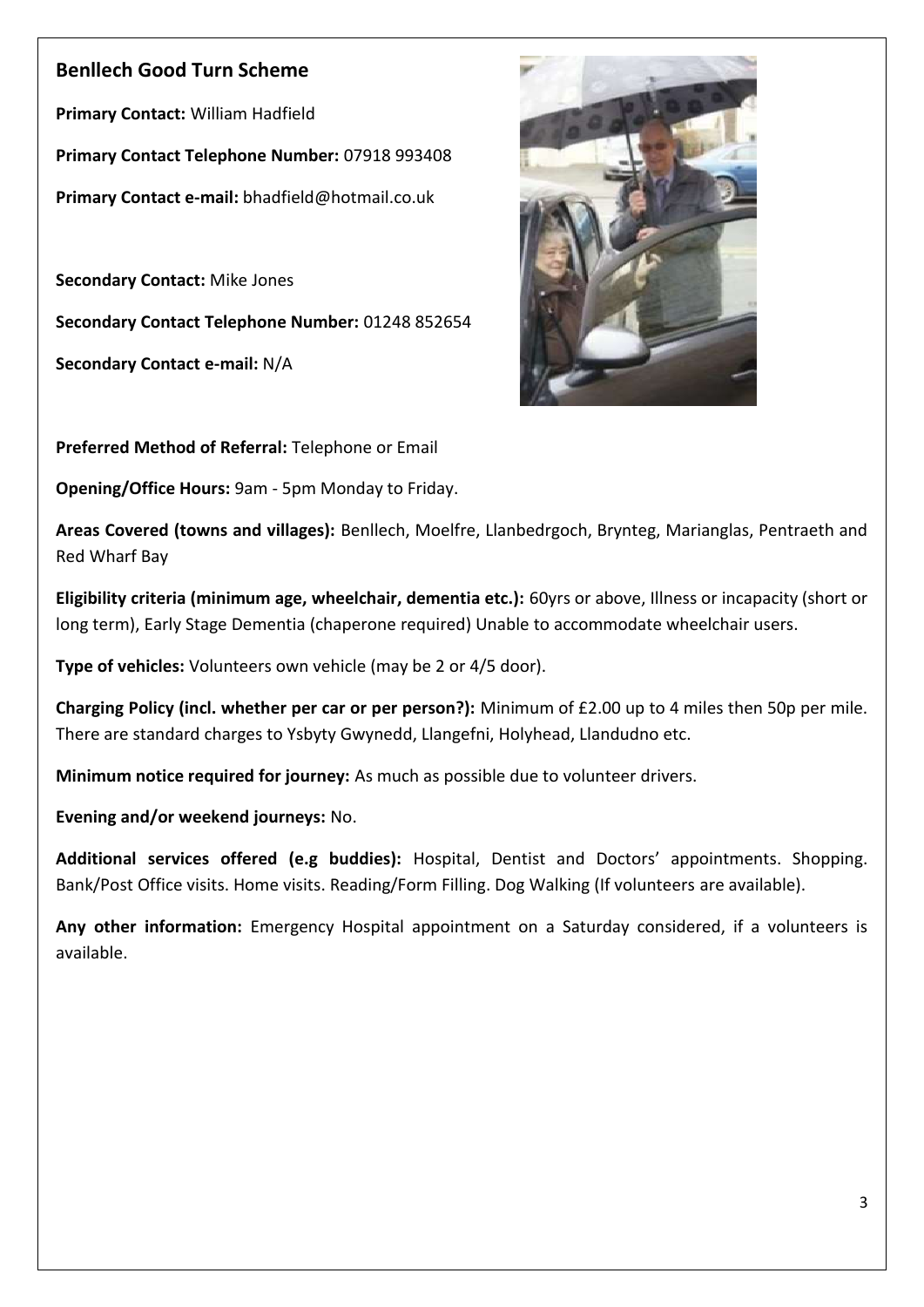### **Benllech Good Turn Scheme**

**Primary Contact:** William Hadfield **Primary Contact Telephone Number:** 07918 993408 **Primary Contact e-mail:** bhadfield@hotmail.co.uk

**Secondary Contact:** Mike Jones **Secondary Contact Telephone Number:** 01248 852654

**Secondary Contact e-mail:** N/A



**Preferred Method of Referral:** Telephone or Email

**Opening/Office Hours:** 9am - 5pm Monday to Friday.

**Areas Covered (towns and villages):** Benllech, Moelfre, Llanbedrgoch, Brynteg, Marianglas, Pentraeth and Red Wharf Bay

**Eligibility criteria (minimum age, wheelchair, dementia etc.):** 60yrs or above, Illness or incapacity (short or long term), Early Stage Dementia (chaperone required) Unable to accommodate wheelchair users.

**Type of vehicles:** Volunteers own vehicle (may be 2 or 4/5 door).

**Charging Policy (incl. whether per car or per person?):** Minimum of £2.00 up to 4 miles then 50p per mile. There are standard charges to Ysbyty Gwynedd, Llangefni, Holyhead, Llandudno etc.

**Minimum notice required for journey:** As much as possible due to volunteer drivers.

**Evening and/or weekend journeys:** No.

**Additional services offered (e.g buddies):** Hospital, Dentist and Doctors' appointments. Shopping. Bank/Post Office visits. Home visits. Reading/Form Filling. Dog Walking (If volunteers are available).

**Any other information:** Emergency Hospital appointment on a Saturday considered, if a volunteers is available.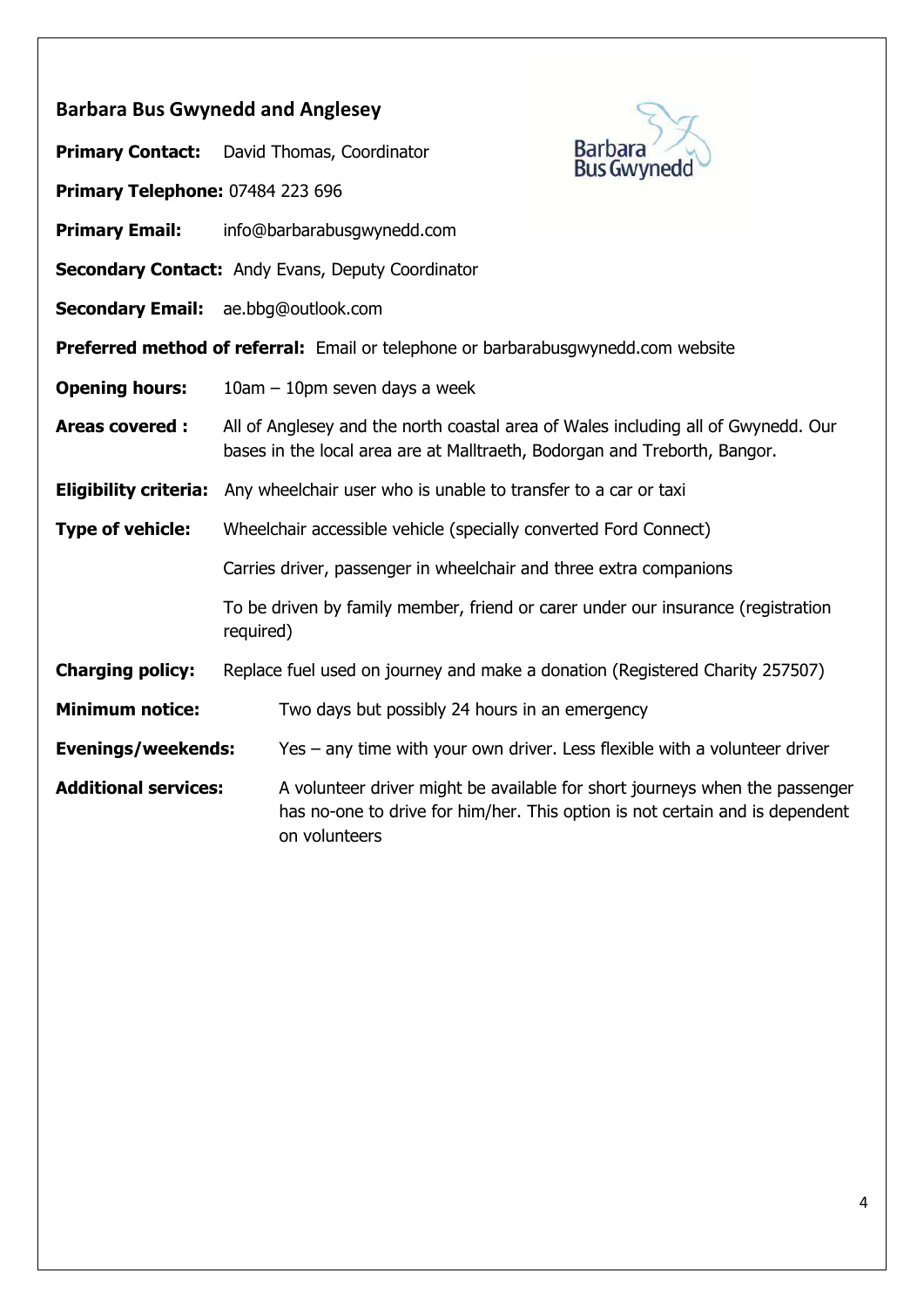| <b>Barbara Bus Gwynedd and Anglesey</b>                                                  |                                                                                                                                                                |                                                                                                                                                             |  |
|------------------------------------------------------------------------------------------|----------------------------------------------------------------------------------------------------------------------------------------------------------------|-------------------------------------------------------------------------------------------------------------------------------------------------------------|--|
| <b>Primary Contact:</b>                                                                  | David Thomas, Coordinator                                                                                                                                      | <b>Barbara</b><br><b>Bus Gwynedd</b>                                                                                                                        |  |
| Primary Telephone: 07484 223 696                                                         |                                                                                                                                                                |                                                                                                                                                             |  |
| <b>Primary Email:</b>                                                                    | info@barbarabusgwynedd.com                                                                                                                                     |                                                                                                                                                             |  |
| <b>Secondary Contact: Andy Evans, Deputy Coordinator</b>                                 |                                                                                                                                                                |                                                                                                                                                             |  |
|                                                                                          | <b>Secondary Email:</b> ae.bbg@outlook.com                                                                                                                     |                                                                                                                                                             |  |
| <b>Preferred method of referral:</b> Email or telephone or barbarabusgwynedd.com website |                                                                                                                                                                |                                                                                                                                                             |  |
| <b>Opening hours:</b>                                                                    | $10am - 10pm$ seven days a week                                                                                                                                |                                                                                                                                                             |  |
| <b>Areas covered:</b>                                                                    | All of Anglesey and the north coastal area of Wales including all of Gwynedd. Our<br>bases in the local area are at Malltraeth, Bodorgan and Treborth, Bangor. |                                                                                                                                                             |  |
| <b>Eligibility criteria:</b>                                                             | Any wheelchair user who is unable to transfer to a car or taxi                                                                                                 |                                                                                                                                                             |  |
| <b>Type of vehicle:</b>                                                                  | Wheelchair accessible vehicle (specially converted Ford Connect)                                                                                               |                                                                                                                                                             |  |
|                                                                                          | Carries driver, passenger in wheelchair and three extra companions                                                                                             |                                                                                                                                                             |  |
|                                                                                          | To be driven by family member, friend or carer under our insurance (registration<br>required)                                                                  |                                                                                                                                                             |  |
| <b>Charging policy:</b>                                                                  | Replace fuel used on journey and make a donation (Registered Charity 257507)                                                                                   |                                                                                                                                                             |  |
| <b>Minimum notice:</b>                                                                   | Two days but possibly 24 hours in an emergency                                                                                                                 |                                                                                                                                                             |  |
| <b>Evenings/weekends:</b>                                                                |                                                                                                                                                                | Yes $-$ any time with your own driver. Less flexible with a volunteer driver                                                                                |  |
| <b>Additional services:</b>                                                              | on volunteers                                                                                                                                                  | A volunteer driver might be available for short journeys when the passenger<br>has no-one to drive for him/her. This option is not certain and is dependent |  |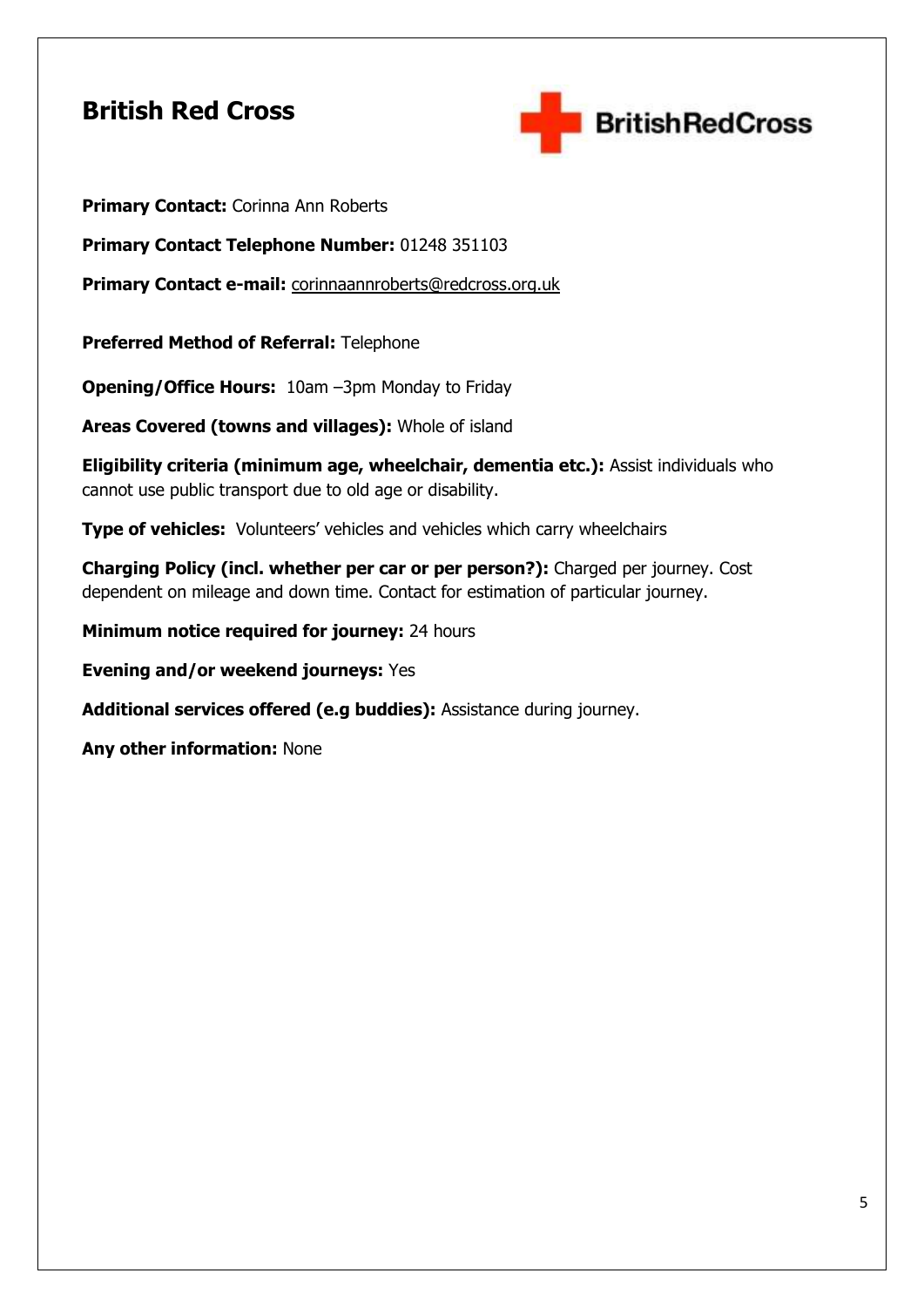### **British Red Cross**



**Primary Contact: Corinna Ann Roberts** 

**Primary Contact Telephone Number:** 01248 351103

**Primary Contact e-mail:** [corinnaannroberts@redcross.org.uk](mailto:corinnaannroberts@redcross.org.uk)

**Preferred Method of Referral:** Telephone

**Opening/Office Hours:** 10am –3pm Monday to Friday

**Areas Covered (towns and villages):** Whole of island

**Eligibility criteria (minimum age, wheelchair, dementia etc.):** Assist individuals who cannot use public transport due to old age or disability.

**Type of vehicles:** Volunteers' vehicles and vehicles which carry wheelchairs

**Charging Policy (incl. whether per car or per person?):** Charged per journey. Cost dependent on mileage and down time. Contact for estimation of particular journey.

**Minimum notice required for journey:** 24 hours

**Evening and/or weekend journeys:** Yes

**Additional services offered (e.g buddies):** Assistance during journey.

**Any other information:** None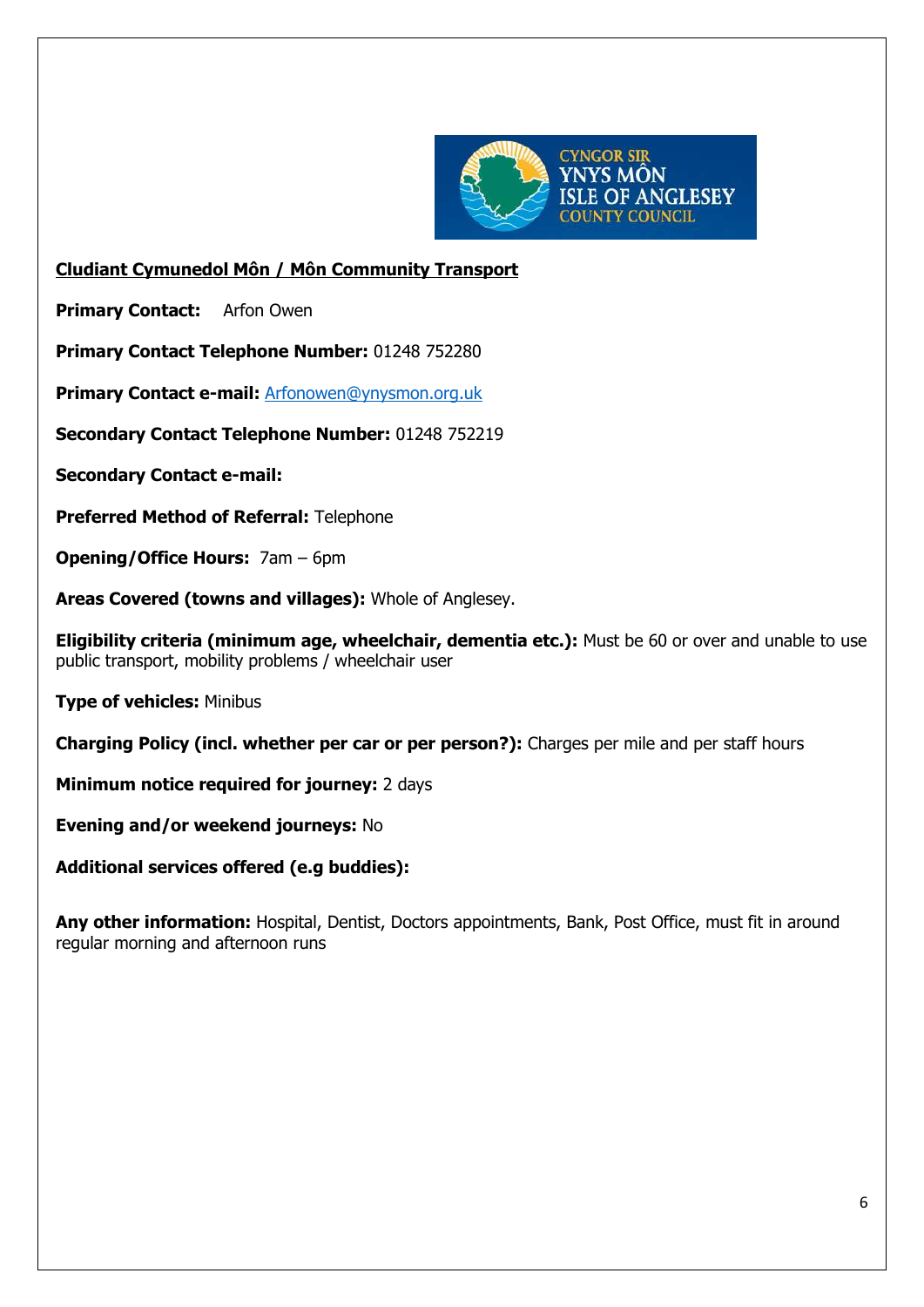

#### **Cludiant Cymunedol Môn / Môn Community Transport**

**Primary Contact:** Arfon Owen

**Primary Contact Telephone Number:** 01248 752280

**Primary Contact e-mail:** [Arfonowen@ynysmon.org.uk](mailto:Arfonowen@ynysmon.org.uk)

**Secondary Contact Telephone Number:** 01248 752219

**Secondary Contact e-mail:** 

**Preferred Method of Referral:** Telephone

**Opening/Office Hours:** 7am – 6pm

**Areas Covered (towns and villages):** Whole of Anglesey.

**Eligibility criteria (minimum age, wheelchair, dementia etc.):** Must be 60 or over and unable to use public transport, mobility problems / wheelchair user

**Type of vehicles:** Minibus

**Charging Policy (incl. whether per car or per person?):** Charges per mile and per staff hours

**Minimum notice required for journey:** 2 days

**Evening and/or weekend journeys:** No

**Additional services offered (e.g buddies):** 

**Any other information:** Hospital, Dentist, Doctors appointments, Bank, Post Office, must fit in around regular morning and afternoon runs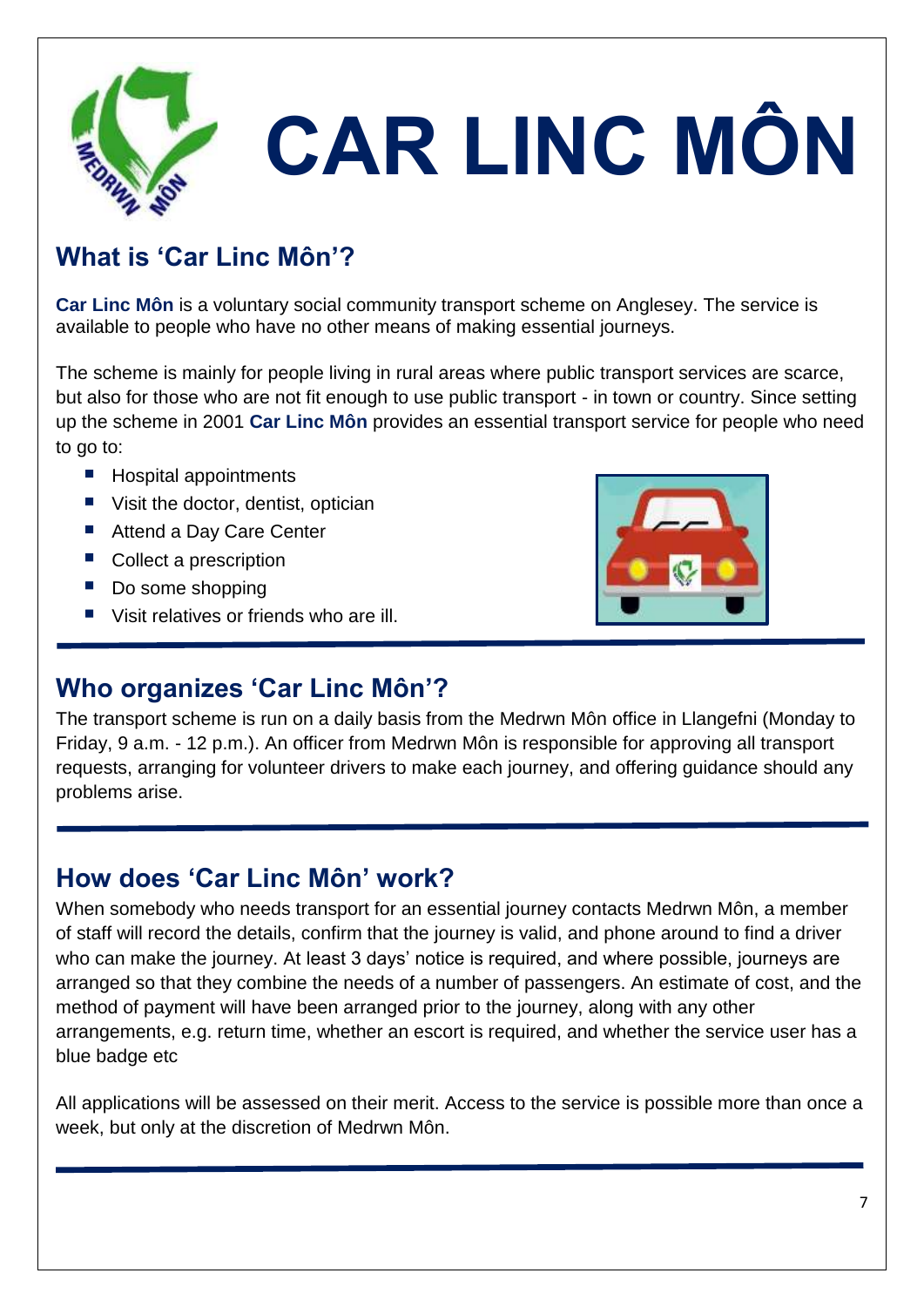

# **CAR LINC MÔN**

# **What is 'Car Linc Môn'?**

**Car Linc Môn** is a voluntary social community transport scheme on Anglesey. The service is available to people who have no other means of making essential journeys.

The scheme is mainly for people living in rural areas where public transport services are scarce, but also for those who are not fit enough to use public transport - in town or country. Since setting up the scheme in 2001 **Car Linc Môn** provides an essential transport service for people who need to go to:

- Hospital appointments
- Visit the doctor, dentist, optician
- Attend a Day Care Center
- Collect a prescription
- Do some shopping

■ Visit relatives or friends who are ill.



## **Who organizes 'Car Linc Môn'?**

The transport scheme is run on a daily basis from the Medrwn Môn office in Llangefni (Monday to Friday, 9 a.m. - 12 p.m.). An officer from Medrwn Môn is responsible for approving all transport requests, arranging for volunteer drivers to make each journey, and offering guidance should any problems arise.

# **How does 'Car Linc Môn' work?**

When somebody who needs transport for an essential journey contacts Medrwn Môn, a member of staff will record the details, confirm that the journey is valid, and phone around to find a driver who can make the journey. At least 3 days' notice is required, and where possible, journeys are arranged so that they combine the needs of a number of passengers. An estimate of cost, and the method of payment will have been arranged prior to the journey, along with any other arrangements, e.g. return time, whether an escort is required, and whether the service user has a blue badge etc

All applications will be assessed on their merit. Access to the service is possible more than once a week, but only at the discretion of Medrwn Môn.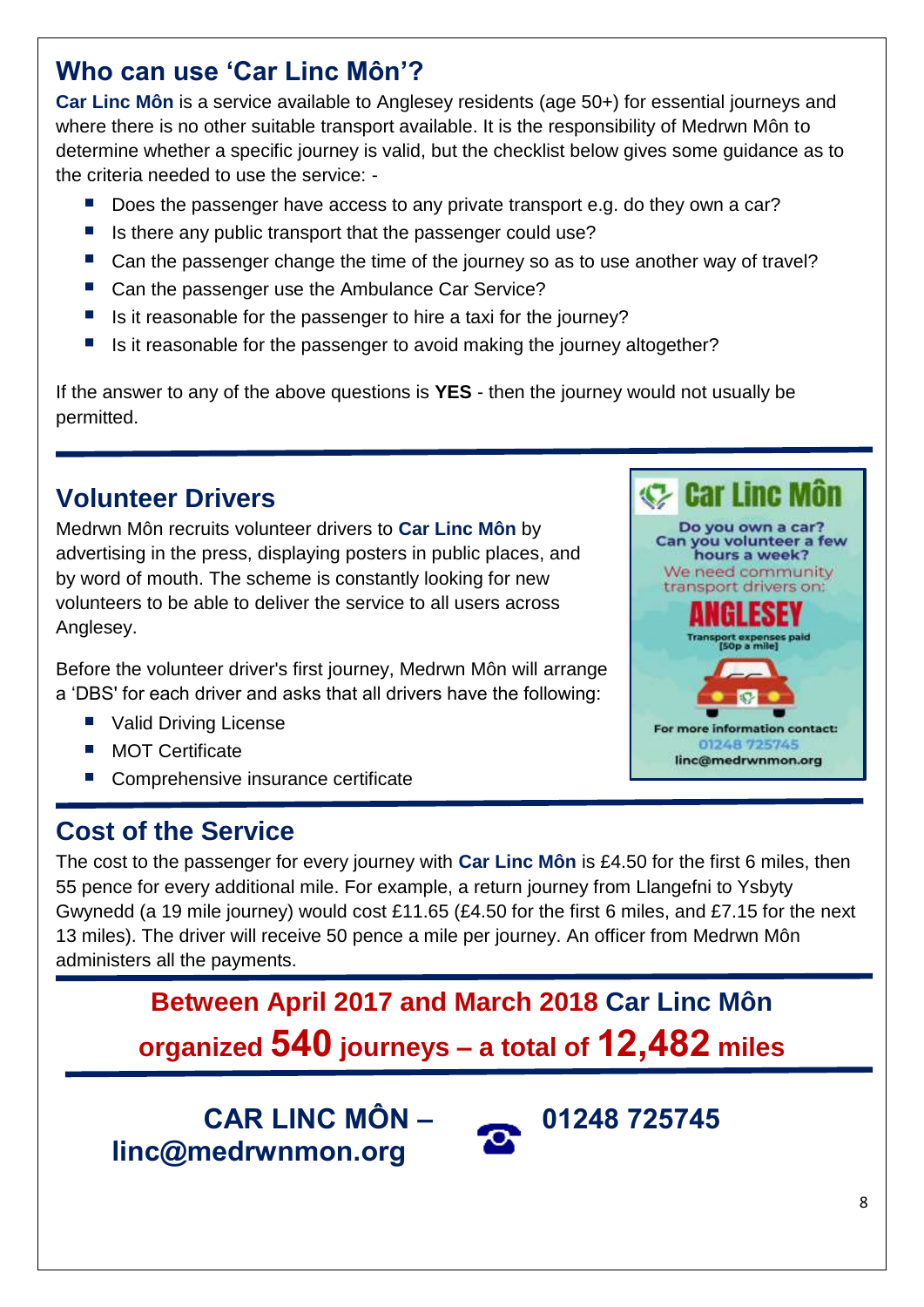# **Who can use 'Car Linc Môn'?**

**Car Linc Môn** is a service available to Anglesey residents (age 50+) for essential journeys and where there is no other suitable transport available. It is the responsibility of Medrwn Môn to determine whether a specific journey is valid, but the checklist below gives some guidance as to the criteria needed to use the service: -

- Does the passenger have access to any private transport e.g. do they own a car?
- Is there any public transport that the passenger could use?
- Can the passenger change the time of the journey so as to use another way of travel?
- Can the passenger use the Ambulance Car Service?
- $\blacksquare$  Is it reasonable for the passenger to hire a taxi for the journey?
- Is it reasonable for the passenger to avoid making the journey altogether?

If the answer to any of the above questions is **YES** - then the journey would not usually be permitted.

# **Volunteer Drivers**

Medrwn Môn recruits volunteer drivers to **Car Linc Môn** by advertising in the press, displaying posters in public places, and by word of mouth. The scheme is constantly looking for new volunteers to be able to deliver the service to all users across Anglesey.

Before the volunteer driver's first journey, Medrwn Môn will arrange a 'DBS' for each driver and asks that all drivers have the following:

- Valid Driving License
- **MOT Certificate**
- Comprehensive insurance certificate

# **Cost of the Service**

The cost to the passenger for every journey with **Car Linc Môn** is £4.50 for the first 6 miles, then 55 pence for every additional mile. For example, a return journey from Llangefni to Ysbyty Gwynedd (a 19 mile journey) would cost £11.65 (£4.50 for the first 6 miles, and £7.15 for the next 13 miles). The driver will receive 50 pence a mile per journey. An officer from Medrwn Môn administers all the payments.

> **Between April 2017 and March 2018 Car Linc Môn organized 540 journeys – a total of 12,482 miles**

**CAR LINC MÔN – 01248 725745 linc@medrwnmon.org** 



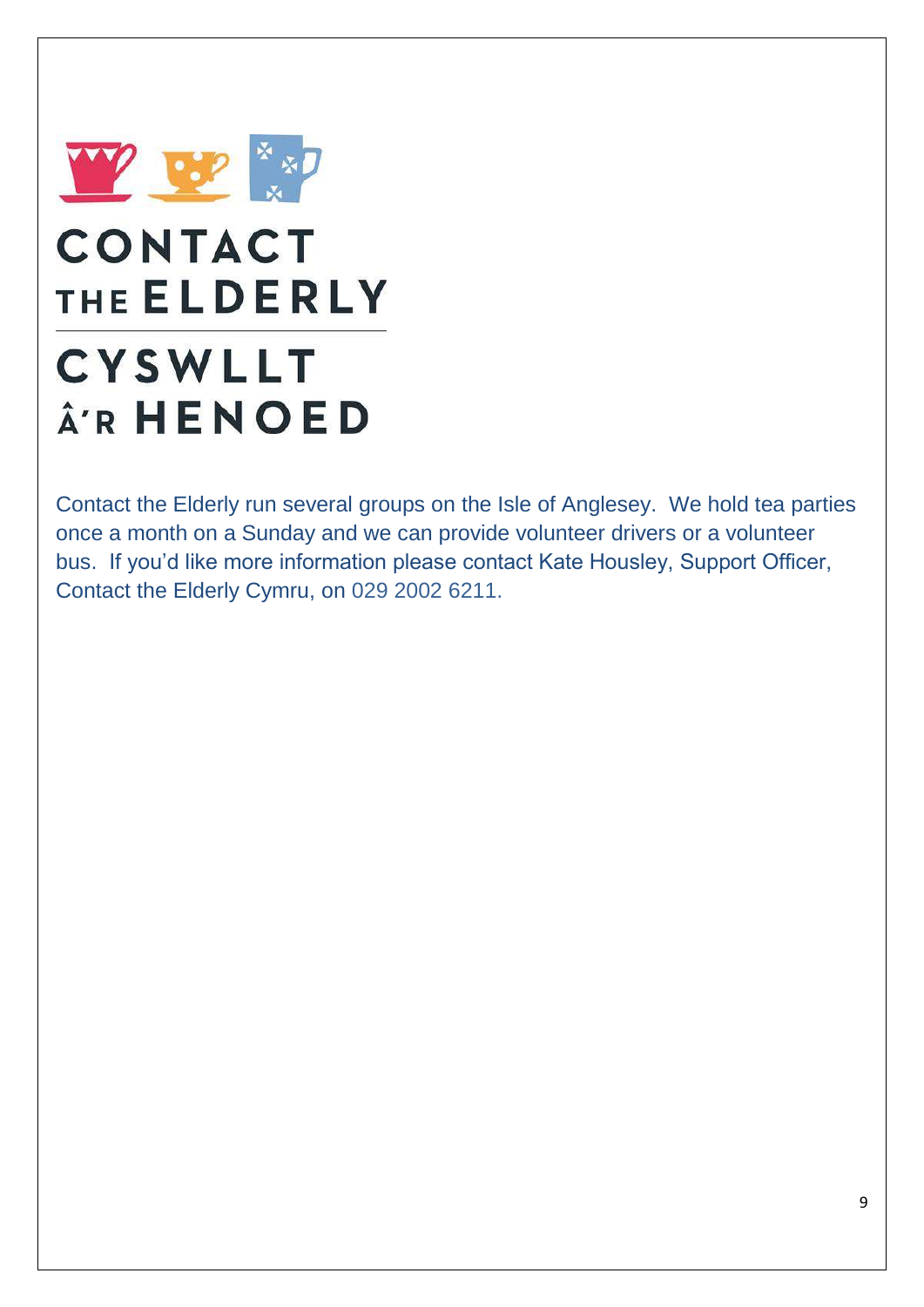

# **CONTACT** THE ELDERLY

# **CYSWLLT ARHENOED**

Contact the Elderly run several groups on the Isle of Anglesey. We hold tea parties once a month on a Sunday and we can provide volunteer drivers or a volunteer bus. If you'd like more information please contact Kate Housley, Support Officer, Contact the Elderly Cymru, on 029 2002 6211.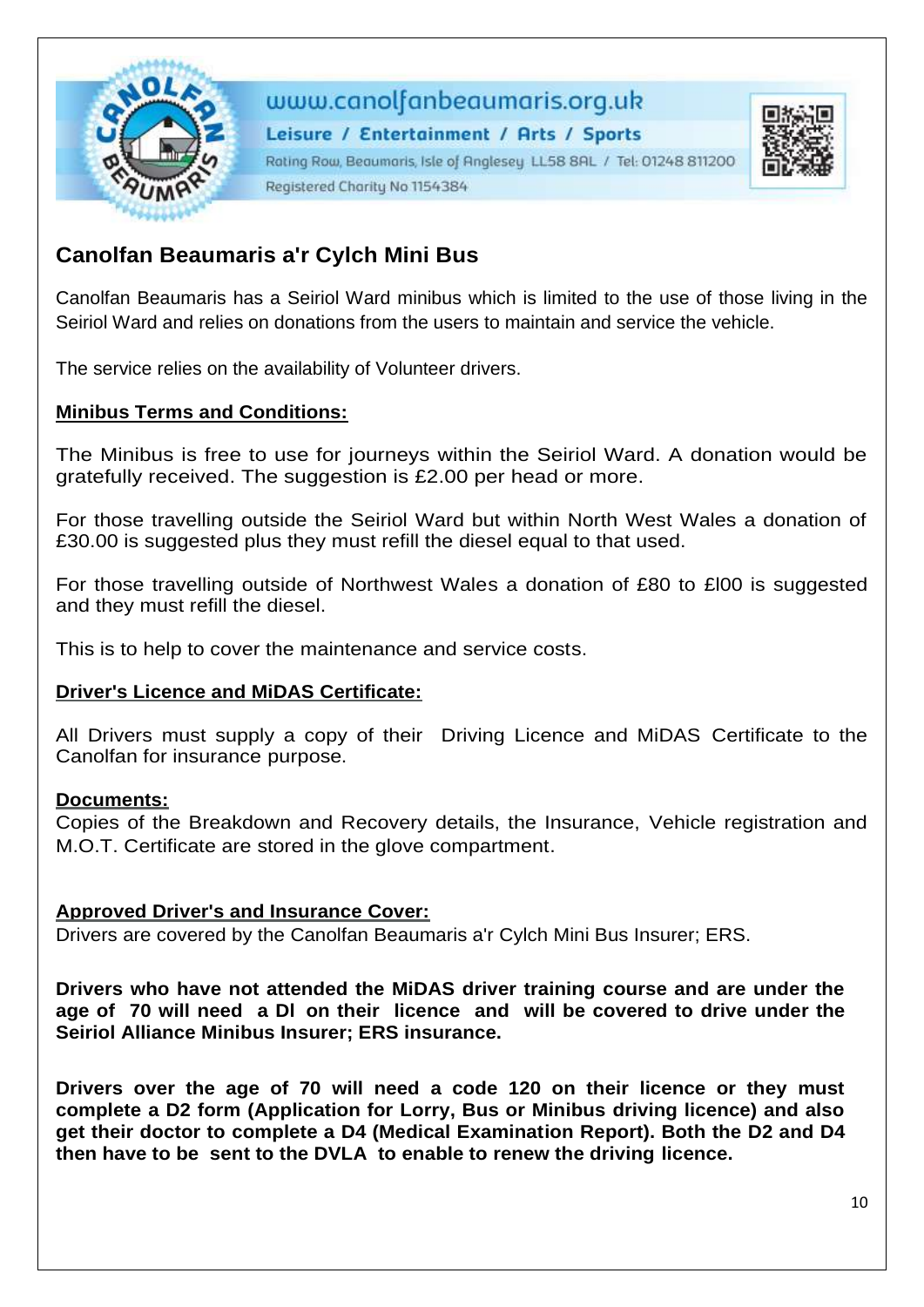

### www.canolfanbeaumaris.org.uk

Leisure / Entertainment / Arts / Sports Rating Row, Beaumaris, Isle of Anglesey LL58 8AL / Tel: 01248 811200 Registered Charity No 1154384



Canolfan Beaumaris has a Seiriol Ward minibus which is limited to the use of those living in the Seiriol Ward and relies on donations from the users to maintain and service the vehicle.

The service relies on the availability of Volunteer drivers.

### **Minibus Terms and Conditions:**

The Minibus is free to use for journeys within the Seiriol Ward. A donation would be gratefully received. The suggestion is £2.00 per head or more.

For those travelling outside the Seiriol Ward but within North West Wales a donation of £30.00 is suggested plus they must refill the diesel equal to that used.

For those travelling outside of Northwest Wales a donation of £80 to £l00 is suggested and they must refill the diesel.

This is to help to cover the maintenance and service costs.

#### **Driver's Licence and MiDAS Certificate:**

All Drivers must supply a copy of their Driving Licence and MiDAS Certificate to the Canolfan for insurance purpose.

#### **Documents:**

Copies of the Breakdown and Recovery details, the Insurance, Vehicle registration and M.O.T. Certificate are stored in the glove compartment.

### **Approved Driver's and Insurance Cover:**

Drivers are covered by the Canolfan Beaumaris a'r Cylch Mini Bus Insurer; ERS.

**Drivers who have not attended the MiDAS driver training course and are under the age of 70 will need a Dl on their licence and will be covered to drive under the Seiriol Alliance Minibus Insurer; ERS insurance.**

**Drivers over the age of 70 will need a code 120 on their licence or they must complete a D2 form (Application for Lorry, Bus or Minibus driving licence) and also get their doctor to complete a D4 (Medical Examination Report). Both the D2 and D4 then have to be sent to the DVLA to enable to renew the driving licence.**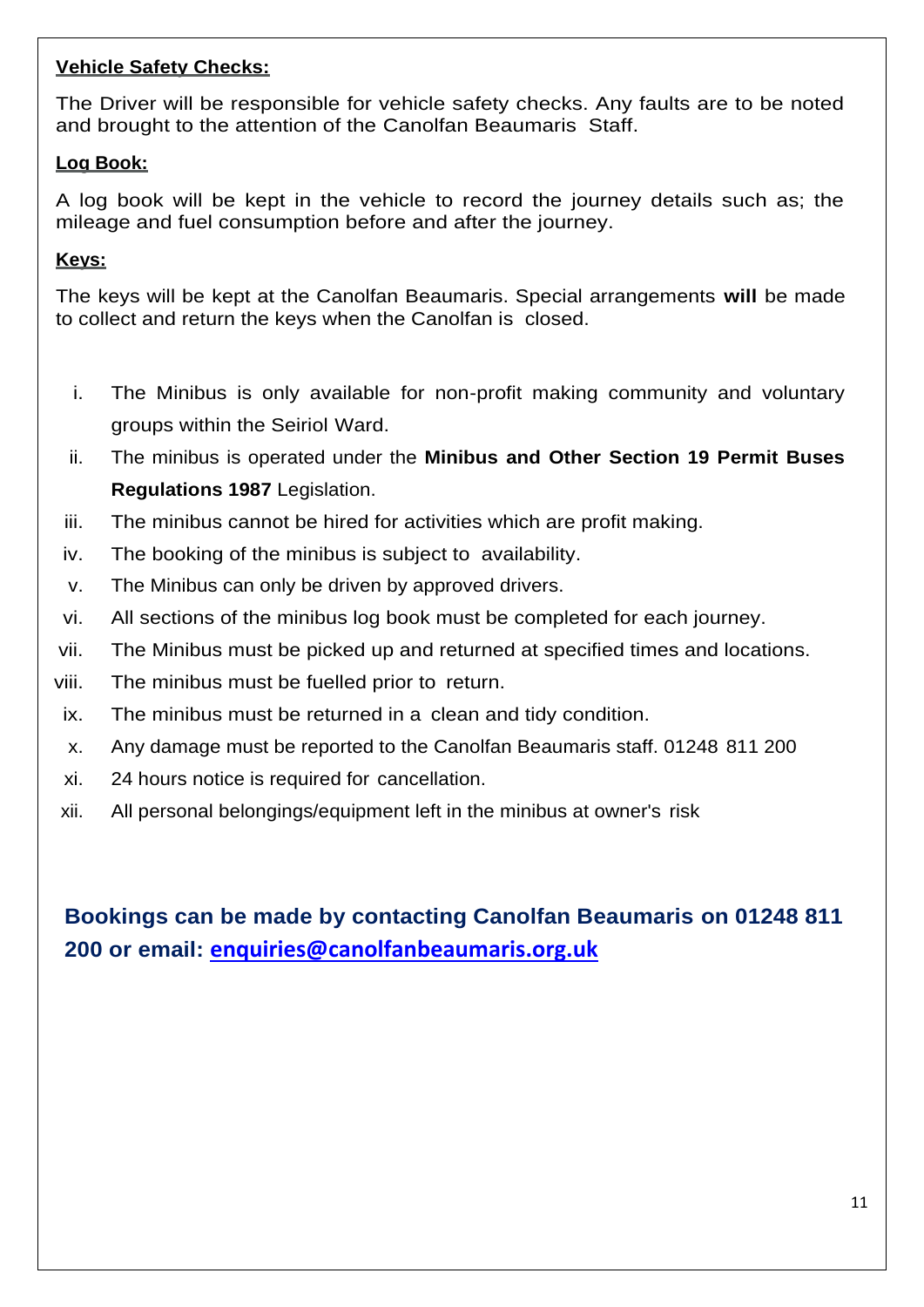### **Vehicle Safety Checks:**

The Driver will be responsible for vehicle safety checks. Any faults are to be noted and brought to the attention of the Canolfan Beaumaris Staff.

### **Log Book:**

A log book will be kept in the vehicle to record the journey details such as; the mileage and fuel consumption before and after the journey.

### **Keys:**

The keys will be kept at the Canolfan Beaumaris. Special arrangements **will** be made to collect and return the keys when the Canolfan is closed.

- i. The Minibus is only available for non-profit making community and voluntary groups within the Seiriol Ward.
- ii. The minibus is operated under the **Minibus and Other Section 19 Permit Buses Regulations 1987** Legislation.
- iii. The minibus cannot be hired for activities which are profit making.
- iv. The booking of the minibus is subject to availability.
- v. The Minibus can only be driven by approved drivers.
- vi. All sections of the minibus log book must be completed for each journey.
- vii. The Minibus must be picked up and returned at specified times and locations.
- viii. The minibus must be fuelled prior to return.
- ix. The minibus must be returned in a clean and tidy condition.
- x. Any damage must be reported to the Canolfan Beaumaris staff. 01248 811 200
- xi. 24 hours notice is required for cancellation.
- xii. All personal belongings/equipment left in the minibus at owner's risk

**Bookings can be made by contacting Canolfan Beaumaris on 01248 811 200 or email: [enquiries@canolfanbeaumaris.org.uk](mailto:enquiries@canolfanbeaumaris.org.uk)**